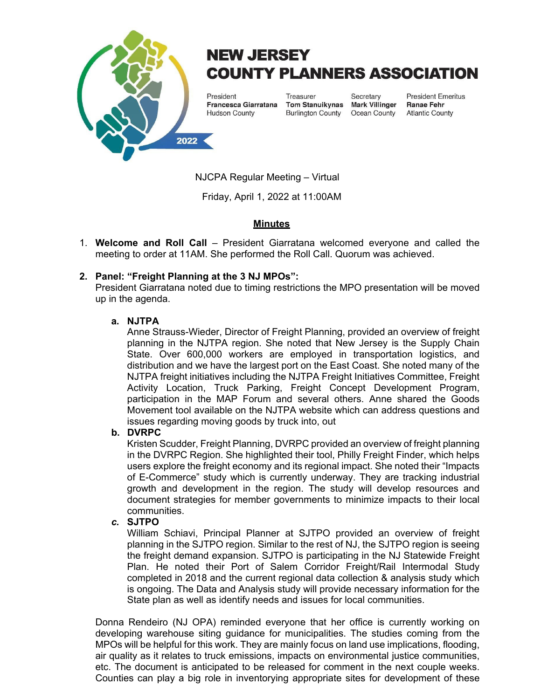

# **NEW JERSEY COUNTY PLANNERS ASSOCIATION**

President Francesca Giarratana **Hudson County** 

Treasurer Tom Stanuikynas Mark Villinger **Burlington County** 

Secretary Ocean County **President Emeritus Ranae Fehr Atlantic County** 

NJCPA Regular Meeting – Virtual

Friday, April 1, 2022 at 11:00AM

# **Minutes**

1. **Welcome and Roll Call** – President Giarratana welcomed everyone and called the meeting to order at 11AM. She performed the Roll Call. Quorum was achieved.

# **2. Panel: "Freight Planning at the 3 NJ MPOs":**

President Giarratana noted due to timing restrictions the MPO presentation will be moved up in the agenda.

## **a. NJTPA**

Anne Strauss-Wieder, Director of Freight Planning, provided an overview of freight planning in the NJTPA region. She noted that New Jersey is the Supply Chain State. Over 600,000 workers are employed in transportation logistics, and distribution and we have the largest port on the East Coast. She noted many of the NJTPA freight initiatives including the NJTPA Freight Initiatives Committee, Freight Activity Location, Truck Parking, Freight Concept Development Program, participation in the MAP Forum and several others. Anne shared the Goods Movement tool available on the NJTPA website which can address questions and issues regarding moving goods by truck into, out

## **b. DVRPC**

Kristen Scudder, Freight Planning, DVRPC provided an overview of freight planning in the DVRPC Region. She highlighted their tool, Philly Freight Finder, which helps users explore the freight economy and its regional impact. She noted their "Impacts of E-Commerce" study which is currently underway. They are tracking industrial growth and development in the region. The study will develop resources and document strategies for member governments to minimize impacts to their local communities.

## *c.* **SJTPO**

William Schiavi, Principal Planner at SJTPO provided an overview of freight planning in the SJTPO region. Similar to the rest of NJ, the SJTPO region is seeing the freight demand expansion. SJTPO is participating in the NJ Statewide Freight Plan. He noted their Port of Salem Corridor Freight/Rail Intermodal Study completed in 2018 and the current regional data collection & analysis study which is ongoing. The Data and Analysis study will provide necessary information for the State plan as well as identify needs and issues for local communities.

Donna Rendeiro (NJ OPA) reminded everyone that her office is currently working on developing warehouse siting guidance for municipalities. The studies coming from the MPOs will be helpful for this work. They are mainly focus on land use implications, flooding, air quality as it relates to truck emissions, impacts on environmental justice communities, etc. The document is anticipated to be released for comment in the next couple weeks. Counties can play a big role in inventorying appropriate sites for development of these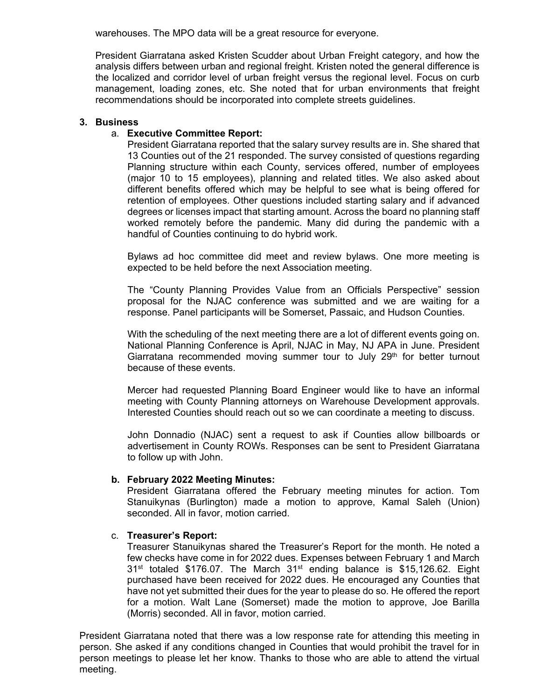warehouses. The MPO data will be a great resource for everyone.

President Giarratana asked Kristen Scudder about Urban Freight category, and how the analysis differs between urban and regional freight. Kristen noted the general difference is the localized and corridor level of urban freight versus the regional level. Focus on curb management, loading zones, etc. She noted that for urban environments that freight recommendations should be incorporated into complete streets guidelines.

#### **3. Business**

## a. **Executive Committee Report:**

President Giarratana reported that the salary survey results are in. She shared that 13 Counties out of the 21 responded. The survey consisted of questions regarding Planning structure within each County, services offered, number of employees (major 10 to 15 employees), planning and related titles. We also asked about different benefits offered which may be helpful to see what is being offered for retention of employees. Other questions included starting salary and if advanced degrees or licenses impact that starting amount. Across the board no planning staff worked remotely before the pandemic. Many did during the pandemic with a handful of Counties continuing to do hybrid work.

Bylaws ad hoc committee did meet and review bylaws. One more meeting is expected to be held before the next Association meeting.

The "County Planning Provides Value from an Officials Perspective" session proposal for the NJAC conference was submitted and we are waiting for a response. Panel participants will be Somerset, Passaic, and Hudson Counties.

With the scheduling of the next meeting there are a lot of different events going on. National Planning Conference is April, NJAC in May, NJ APA in June. President Giarratana recommended moving summer tour to July  $29<sup>th</sup>$  for better turnout because of these events.

Mercer had requested Planning Board Engineer would like to have an informal meeting with County Planning attorneys on Warehouse Development approvals. Interested Counties should reach out so we can coordinate a meeting to discuss.

John Donnadio (NJAC) sent a request to ask if Counties allow billboards or advertisement in County ROWs. Responses can be sent to President Giarratana to follow up with John.

## **b. February 2022 Meeting Minutes:**

President Giarratana offered the February meeting minutes for action. Tom Stanuikynas (Burlington) made a motion to approve, Kamal Saleh (Union) seconded. All in favor, motion carried.

## c. **Treasurer's Report:**

Treasurer Stanuikynas shared the Treasurer's Report for the month. He noted a few checks have come in for 2022 dues. Expenses between February 1 and March 31<sup>st</sup> totaled \$176.07. The March 31<sup>st</sup> ending balance is \$15,126.62. Eight purchased have been received for 2022 dues. He encouraged any Counties that have not yet submitted their dues for the year to please do so. He offered the report for a motion. Walt Lane (Somerset) made the motion to approve, Joe Barilla (Morris) seconded. All in favor, motion carried.

President Giarratana noted that there was a low response rate for attending this meeting in person. She asked if any conditions changed in Counties that would prohibit the travel for in person meetings to please let her know. Thanks to those who are able to attend the virtual meeting.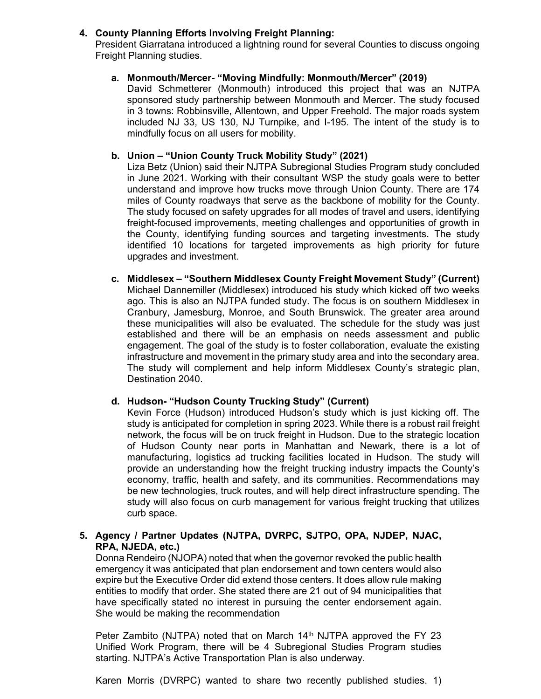# **4. County Planning Efforts Involving Freight Planning:**

President Giarratana introduced a lightning round for several Counties to discuss ongoing Freight Planning studies.

## **a. Monmouth/Mercer- "Moving Mindfully: Monmouth/Mercer" (2019)**

David Schmetterer (Monmouth) introduced this project that was an NJTPA sponsored study partnership between Monmouth and Mercer. The study focused in 3 towns: Robbinsville, Allentown, and Upper Freehold. The major roads system included NJ 33, US 130, NJ Turnpike, and I-195. The intent of the study is to mindfully focus on all users for mobility.

# **b. Union – "Union County Truck Mobility Study" (2021)**

Liza Betz (Union) said their NJTPA Subregional Studies Program study concluded in June 2021. Working with their consultant WSP the study goals were to better understand and improve how trucks move through Union County. There are 174 miles of County roadways that serve as the backbone of mobility for the County. The study focused on safety upgrades for all modes of travel and users, identifying freight-focused improvements, meeting challenges and opportunities of growth in the County, identifying funding sources and targeting investments. The study identified 10 locations for targeted improvements as high priority for future upgrades and investment.

**c. Middlesex – "Southern Middlesex County Freight Movement Study" (Current)**  Michael Dannemiller (Middlesex) introduced his study which kicked off two weeks ago. This is also an NJTPA funded study. The focus is on southern Middlesex in Cranbury, Jamesburg, Monroe, and South Brunswick. The greater area around these municipalities will also be evaluated. The schedule for the study was just established and there will be an emphasis on needs assessment and public engagement. The goal of the study is to foster collaboration, evaluate the existing infrastructure and movement in the primary study area and into the secondary area. The study will complement and help inform Middlesex County's strategic plan, Destination 2040.

## **d. Hudson- "Hudson County Trucking Study" (Current)**

Kevin Force (Hudson) introduced Hudson's study which is just kicking off. The study is anticipated for completion in spring 2023. While there is a robust rail freight network, the focus will be on truck freight in Hudson. Due to the strategic location of Hudson County near ports in Manhattan and Newark, there is a lot of manufacturing, logistics ad trucking facilities located in Hudson. The study will provide an understanding how the freight trucking industry impacts the County's economy, traffic, health and safety, and its communities. Recommendations may be new technologies, truck routes, and will help direct infrastructure spending. The study will also focus on curb management for various freight trucking that utilizes curb space.

# **5. Agency / Partner Updates (NJTPA, DVRPC, SJTPO, OPA, NJDEP, NJAC, RPA, NJEDA, etc.)**

Donna Rendeiro (NJOPA) noted that when the governor revoked the public health emergency it was anticipated that plan endorsement and town centers would also expire but the Executive Order did extend those centers. It does allow rule making entities to modify that order. She stated there are 21 out of 94 municipalities that have specifically stated no interest in pursuing the center endorsement again. She would be making the recommendation

Peter Zambito (NJTPA) noted that on March 14<sup>th</sup> NJTPA approved the FY 23 Unified Work Program, there will be 4 Subregional Studies Program studies starting. NJTPA's Active Transportation Plan is also underway.

Karen Morris (DVRPC) wanted to share two recently published studies. 1)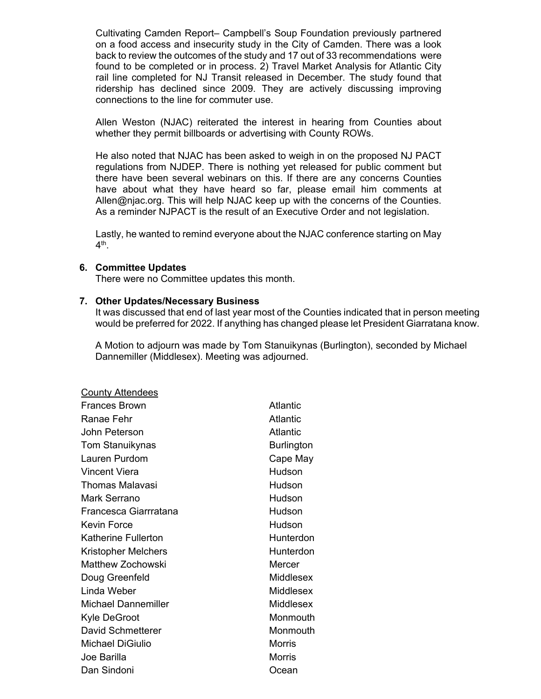Cultivating Camden Report– Campbell's Soup Foundation previously partnered on a food access and insecurity study in the City of Camden. There was a look back to review the outcomes of the study and 17 out of 33 recommendations were found to be completed or in process. 2) Travel Market Analysis for Atlantic City rail line completed for NJ Transit released in December. The study found that ridership has declined since 2009. They are actively discussing improving connections to the line for commuter use.

Allen Weston (NJAC) reiterated the interest in hearing from Counties about whether they permit billboards or advertising with County ROWs.

He also noted that NJAC has been asked to weigh in on the proposed NJ PACT regulations from NJDEP. There is nothing yet released for public comment but there have been several webinars on this. If there are any concerns Counties have about what they have heard so far, please email him comments at Allen@njac.org. This will help NJAC keep up with the concerns of the Counties. As a reminder NJPACT is the result of an Executive Order and not legislation.

Lastly, he wanted to remind everyone about the NJAC conference starting on May  $4<sup>th</sup>$ 

#### **6. Committee Updates**

There were no Committee updates this month.

#### **7. Other Updates/Necessary Business**

It was discussed that end of last year most of the Counties indicated that in person meeting would be preferred for 2022. If anything has changed please let President Giarratana know.

A Motion to adjourn was made by Tom Stanuikynas (Burlington), seconded by Michael Dannemiller (Middlesex). Meeting was adjourned.

| <b>County Attendees</b>    |                  |
|----------------------------|------------------|
| Frances Brown              | Atlantic         |
| Ranae Fehr                 | Atlantic         |
| John Peterson              | Atlantic         |
| Tom Stanuikynas            | Burlington       |
| Lauren Purdom              | Cape May         |
| Vincent Viera              | Hudson           |
| Thomas Malavasi            | Hudson           |
| Mark Serrano               | Hudson           |
| Francesca Giarrratana      | Hudson           |
| Kevin Force                | Hudson           |
| <b>Katherine Fullerton</b> | Hunterdon        |
| <b>Kristopher Melchers</b> | Hunterdon        |
| Matthew Zochowski          | Mercer           |
| Doug Greenfeld             | Middlesex        |
| Linda Weber                | Middlesex        |
| <b>Michael Dannemiller</b> | <b>Middlesex</b> |
| Kyle DeGroot               | Monmouth         |
| David Schmetterer          | Monmouth         |
| Michael DiGiulio           | Morris           |
| Joe Barilla                | <b>Morris</b>    |
| Dan Sindoni                | Ocean            |